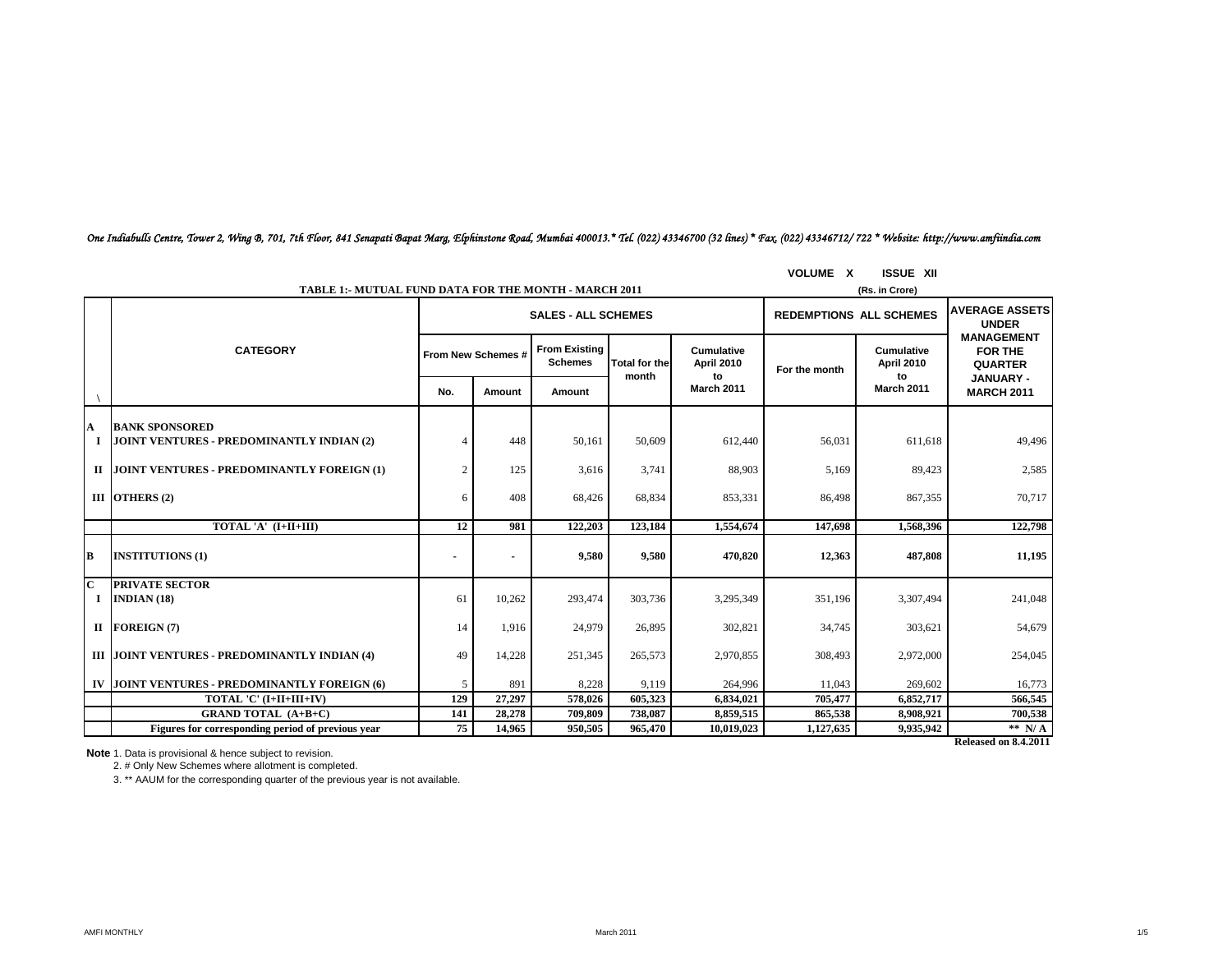*One Indiabulls Centre, Tower 2, Wing B, 701, 7th Floor, 841 Senapati Bapat Marg, Elphinstone Road, Mumbai 400013.\* Tel. (022) 43346700 (32 lines) \* Fax. (022) 43346712/ 722 \* Website: http://www.amfiindia.com*

## **VOLUME X ISSUE XII**

|                         | <b>TABLE 1: MUTUAL FUND DATA FOR THE MONTH - MARCH 2011</b> | (Rs. in Crore)             |                    |                                        |                      |                                 |                                |                                 |                                                |  |
|-------------------------|-------------------------------------------------------------|----------------------------|--------------------|----------------------------------------|----------------------|---------------------------------|--------------------------------|---------------------------------|------------------------------------------------|--|
|                         |                                                             | <b>SALES - ALL SCHEMES</b> |                    |                                        |                      |                                 | <b>REDEMPTIONS ALL SCHEMES</b> |                                 | <b>AVERAGE ASSETS</b><br><b>UNDER</b>          |  |
|                         | <b>CATEGORY</b>                                             |                            | From New Schemes # | <b>From Existing</b><br><b>Schemes</b> | <b>Total for the</b> | Cumulative<br><b>April 2010</b> | For the month                  | <b>Cumulative</b><br>April 2010 | <b>MANAGEMENT</b><br>FOR THE<br><b>QUARTER</b> |  |
|                         |                                                             | No.                        | Amount             | Amount                                 | month                | to<br><b>March 2011</b>         |                                | to<br><b>March 2011</b>         | <b>JANUARY -</b><br><b>MARCH 2011</b>          |  |
| $\mathbf A$             | <b>BANK SPONSORED</b>                                       |                            |                    |                                        |                      |                                 |                                |                                 |                                                |  |
|                         | JOINT VENTURES - PREDOMINANTLY INDIAN (2)                   |                            | 448                | 50,161                                 | 50,609               | 612,440                         | 56,031                         | 611,618                         | 49,496                                         |  |
|                         | II JOINT VENTURES - PREDOMINANTLY FOREIGN (1)               | $\overline{2}$             | 125                | 3,616                                  | 3,741                | 88,903                          | 5,169                          | 89,423                          | 2,585                                          |  |
|                         | III OTHERS $(2)$                                            | 6                          | 408                | 68,426                                 | 68,834               | 853,331                         | 86,498                         | 867,355                         | 70,717                                         |  |
|                         | TOTAL 'A' (I+II+III)                                        | 12                         | 981                | 122,203                                | 123,184              | 1,554,674                       | 147.698                        | 1,568,396                       | 122,798                                        |  |
| B                       | <b>INSTITUTIONS (1)</b>                                     |                            |                    | 9,580                                  | 9,580                | 470,820                         | 12,363                         | 487,808                         | 11,195                                         |  |
| $\overline{\mathbf{C}}$ | <b>PRIVATE SECTOR</b>                                       |                            |                    |                                        |                      |                                 |                                |                                 |                                                |  |
| 1                       | INDIAN $(18)$                                               | 61                         | 10,262             | 293,474                                | 303,736              | 3,295,349                       | 351,196                        | 3,307,494                       | 241,048                                        |  |
|                         | II FOREIGN $(7)$                                            | 14                         | 1,916              | 24,979                                 | 26,895               | 302,821                         | 34,745                         | 303,621                         | 54,679                                         |  |
|                         | III JOINT VENTURES - PREDOMINANTLY INDIAN (4)               | 49                         | 14,228             | 251,345                                | 265,573              | 2,970,855                       | 308,493                        | 2,972,000                       | 254,045                                        |  |
|                         | IV JOINT VENTURES - PREDOMINANTLY FOREIGN (6)               | 5                          | 891                | 8,228                                  | 9,119                | 264,996                         | 11,043                         | 269,602                         | 16,773                                         |  |
|                         | TOTAL 'C' (I+II+III+IV)                                     | 129                        | 27,297             | 578,026                                | 605,323              | 6,834,021                       | 705,477                        | 6,852,717                       | 566,545                                        |  |
|                         | <b>GRAND TOTAL (A+B+C)</b>                                  | 141                        | 28,278             | 709,809                                | 738,087              | 8,859,515                       | 865,538                        | 8,908,921                       | 700,538                                        |  |
|                         | Figures for corresponding period of previous year           | 75                         | 14,965             | 950,505                                | 965,470              | 10,019,023                      | 1,127,635                      | 9,935,942                       | ** $N/A$                                       |  |

**Released on 8.4.2011**

**Note** 1. Data is provisional & hence subject to revision.

2. # Only New Schemes where allotment is completed.

3. \*\* AAUM for the corresponding quarter of the previous year is not available.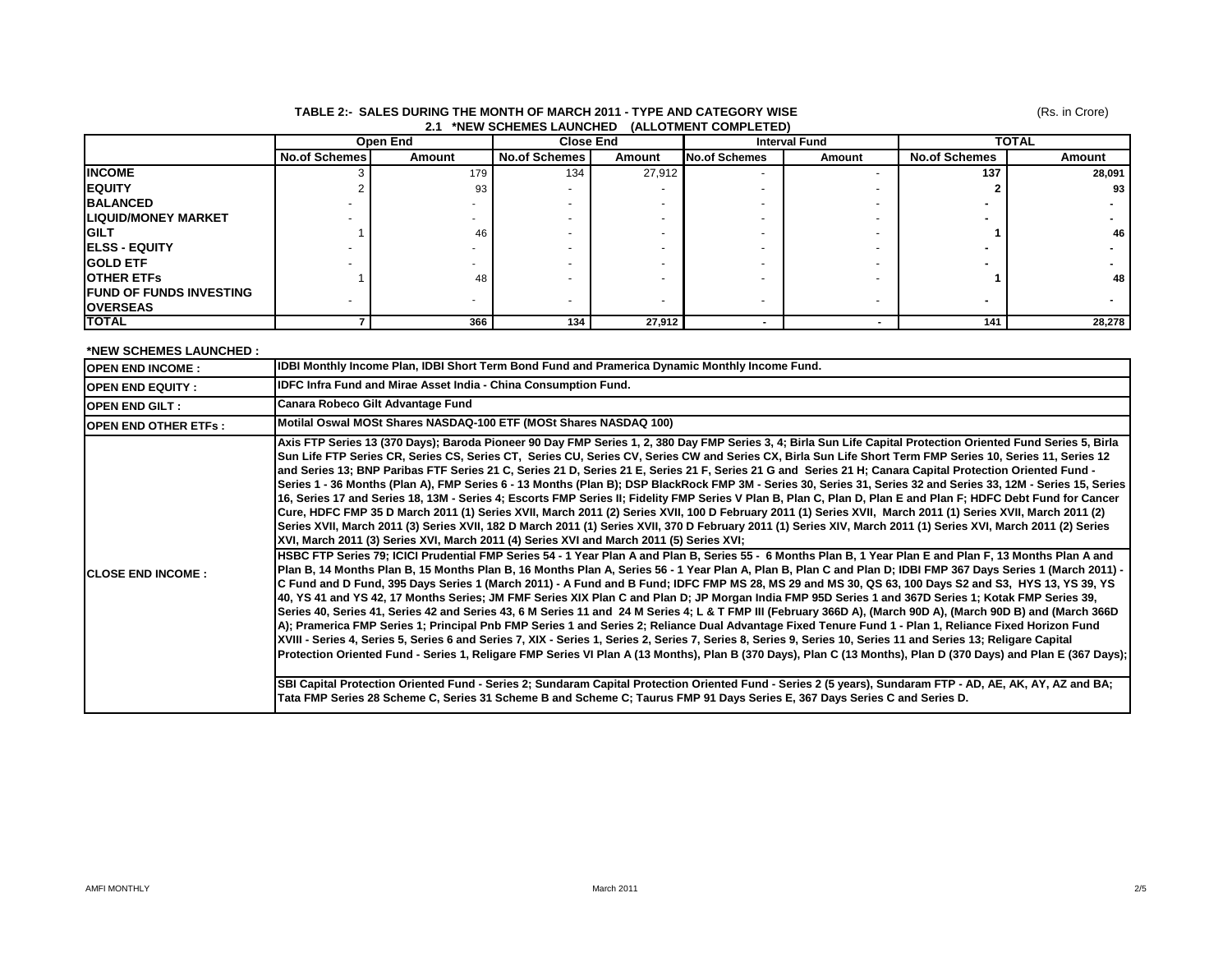#### **TABLE 2:- SALES DURING THE MONTH OF MARCH 2011 - TYPE AND CATEGORY WISE 2.1 \*NEW SCHEMES LAUNCHED (ALLOTMENT COMPLETED)**

(Rs. in Crore)

| .<br>**=** 0011EME0 EA011011ED  |                      |          |                          |        |                      |        |                      |        |  |
|---------------------------------|----------------------|----------|--------------------------|--------|----------------------|--------|----------------------|--------|--|
|                                 |                      | Open End | <b>Close End</b>         |        | <b>Interval Fund</b> |        | <b>TOTAL</b>         |        |  |
|                                 | <b>No.of Schemes</b> | Amount   | <b>No.of Schemes</b>     | Amount | <b>No.of Schemes</b> | Amount | <b>No.of Schemes</b> | Amount |  |
| <b>INCOME</b>                   |                      | 179      | 134                      | 27,912 |                      |        | 137                  | 28,091 |  |
| <b>IEQUITY</b>                  |                      | 93       |                          |        |                      |        |                      | 93     |  |
| <b>BALANCED</b>                 |                      |          |                          |        |                      |        |                      |        |  |
| <b>LIQUID/MONEY MARKET</b>      |                      |          |                          |        |                      |        |                      |        |  |
| <b>IGILT</b>                    |                      | 46       |                          |        |                      |        |                      | 46     |  |
| <b>IELSS - EQUITY</b>           |                      |          |                          |        |                      |        |                      |        |  |
| <b>GOLD ETF</b>                 |                      |          |                          |        |                      |        |                      |        |  |
| <b>OTHER ETFS</b>               |                      | 48       |                          |        |                      |        |                      | 48     |  |
| <b>IFUND OF FUNDS INVESTING</b> |                      |          |                          |        |                      |        |                      |        |  |
| <b>OVERSEAS</b>                 |                      |          | $\overline{\phantom{a}}$ |        |                      |        |                      |        |  |
| <b>TOTAL</b>                    |                      | 366      | 134                      | 27,912 |                      |        | 141                  | 28,278 |  |

## **\*NEW SCHEMES LAUNCHED :**

| <b>OPEN END INCOME:</b>     | IDBI Monthly Income Plan, IDBI Short Term Bond Fund and Pramerica Dynamic Monthly Income Fund.                                                                                                                                                                                                                                                                                                                                                                                                                                                                                                                                                                                                                                                                                                                                                                                                                                                                                                                                                                                                                                                                                                                                                                                                                                                                                                                                                                                                                                                                                                                                                                                                                                                                                                                                                                                                                                                                                                                                                                                                                                                                                                                                                                                                                                                                                                               |
|-----------------------------|--------------------------------------------------------------------------------------------------------------------------------------------------------------------------------------------------------------------------------------------------------------------------------------------------------------------------------------------------------------------------------------------------------------------------------------------------------------------------------------------------------------------------------------------------------------------------------------------------------------------------------------------------------------------------------------------------------------------------------------------------------------------------------------------------------------------------------------------------------------------------------------------------------------------------------------------------------------------------------------------------------------------------------------------------------------------------------------------------------------------------------------------------------------------------------------------------------------------------------------------------------------------------------------------------------------------------------------------------------------------------------------------------------------------------------------------------------------------------------------------------------------------------------------------------------------------------------------------------------------------------------------------------------------------------------------------------------------------------------------------------------------------------------------------------------------------------------------------------------------------------------------------------------------------------------------------------------------------------------------------------------------------------------------------------------------------------------------------------------------------------------------------------------------------------------------------------------------------------------------------------------------------------------------------------------------------------------------------------------------------------------------------------------------|
| <b>IOPEN END EQUITY:</b>    | IDFC Infra Fund and Mirae Asset India - China Consumption Fund.                                                                                                                                                                                                                                                                                                                                                                                                                                                                                                                                                                                                                                                                                                                                                                                                                                                                                                                                                                                                                                                                                                                                                                                                                                                                                                                                                                                                                                                                                                                                                                                                                                                                                                                                                                                                                                                                                                                                                                                                                                                                                                                                                                                                                                                                                                                                              |
| <b>IOPEN END GILT:</b>      | Canara Robeco Gilt Advantage Fund                                                                                                                                                                                                                                                                                                                                                                                                                                                                                                                                                                                                                                                                                                                                                                                                                                                                                                                                                                                                                                                                                                                                                                                                                                                                                                                                                                                                                                                                                                                                                                                                                                                                                                                                                                                                                                                                                                                                                                                                                                                                                                                                                                                                                                                                                                                                                                            |
| <b>OPEN END OTHER ETFS:</b> | Motilal Oswal MOSt Shares NASDAQ-100 ETF (MOSt Shares NASDAQ 100)                                                                                                                                                                                                                                                                                                                                                                                                                                                                                                                                                                                                                                                                                                                                                                                                                                                                                                                                                                                                                                                                                                                                                                                                                                                                                                                                                                                                                                                                                                                                                                                                                                                                                                                                                                                                                                                                                                                                                                                                                                                                                                                                                                                                                                                                                                                                            |
| <b>ICLOSE END INCOME:</b>   | Axis FTP Series 13 (370 Days); Baroda Pioneer 90 Day FMP Series 1, 2, 380 Day FMP Series 3, 4; Birla Sun Life Capital Protection Oriented Fund Series 5, Birla<br>Sun Life FTP Series CR, Series CS, Series CT, Series CU, Series CV, Series CW and Series CX, Birla Sun Life Short Term FMP Series 10, Series 11, Series 12<br>and Series 13; BNP Paribas FTF Series 21 C, Series 21 D, Series 21 E, Series 21 F, Series 21 G and Series 21 H; Canara Capital Protection Oriented Fund -<br>Series 1 - 36 Months (Plan A), FMP Series 6 - 13 Months (Plan B); DSP BlackRock FMP 3M - Series 30, Series 31, Series 32 and Series 33, 12M - Series 15, Series<br>16, Series 17 and Series 18, 13M - Series 4; Escorts FMP Series II; Fidelity FMP Series V Plan B, Plan C, Plan D, Plan E and Plan F; HDFC Debt Fund for Cancer<br> Cure, HDFC FMP 35 D March 2011 (1) Series XVII, March 2011 (2) Series XVII, 100 D February 2011 (1) Series XVII, March 2011 (1) Series XVII, March 2011 (2)<br> Series XVII, March 2011 (3) Series XVII, 182 D March 2011 (1) Series XVII, 370 D February 2011 (1) Series XIV, March 2011 (1) Series XVI, March 2011 (2) Series<br>XVI, March 2011 (3) Series XVI, March 2011 (4) Series XVI and March 2011 (5) Series XVI;<br>HSBC FTP Series 79; ICICI Prudential FMP Series 54 - 1 Year Plan A and Plan B, Series 55 - 6 Months Plan B, 1 Year Plan E and Plan F, 13 Months Plan A and<br>Plan B, 14 Months Plan B, 15 Months Plan B, 16 Months Plan A, Series 56 - 1 Year Plan A, Plan B, Plan C and Plan D; IDBI FMP 367 Days Series 1 (March 2011) -<br>C Fund and D Fund, 395 Days Series 1 (March 2011) - A Fund and B Fund; IDFC FMP MS 28, MS 29 and MS 30, QS 63, 100 Days S2 and S3, HYS 13, YS 39, YS<br>40, YS 41 and YS 42, 17 Months Series; JM FMF Series XIX Plan C and Plan D; JP Morgan India FMP 95D Series 1 and 367D Series 1; Kotak FMP Series 39,<br> Series 40, Series 41, Series 42 and Series 43, 6 M Series 11 and 24 M Series 4; L & T FMP III (February 366D A), (March 90D A), (March 90D B) and (March 366D<br>A); Pramerica FMP Series 1; Principal Pnb FMP Series 1 and Series 2; Reliance Dual Advantage Fixed Tenure Fund 1 - Plan 1, Reliance Fixed Horizon Fund<br>XVIII - Series 4, Series 5, Series 6 and Series 7, XIX - Series 1, Series 2, Series 7, Series 8, Series 9, Series 10, Series 11 and Series 13; Religare Capital |
|                             | Protection Oriented Fund - Series 1, Religare FMP Series VI Plan A (13 Months), Plan B (370 Days), Plan C (13 Months), Plan D (370 Days) and Plan E (367 Days);                                                                                                                                                                                                                                                                                                                                                                                                                                                                                                                                                                                                                                                                                                                                                                                                                                                                                                                                                                                                                                                                                                                                                                                                                                                                                                                                                                                                                                                                                                                                                                                                                                                                                                                                                                                                                                                                                                                                                                                                                                                                                                                                                                                                                                              |
|                             | SBI Capital Protection Oriented Fund - Series 2; Sundaram Capital Protection Oriented Fund - Series 2 (5 years), Sundaram FTP - AD, AE, AK, AY, AZ and BA;<br>Tata FMP Series 28 Scheme C, Series 31 Scheme B and Scheme C; Taurus FMP 91 Days Series E, 367 Days Series C and Series D.                                                                                                                                                                                                                                                                                                                                                                                                                                                                                                                                                                                                                                                                                                                                                                                                                                                                                                                                                                                                                                                                                                                                                                                                                                                                                                                                                                                                                                                                                                                                                                                                                                                                                                                                                                                                                                                                                                                                                                                                                                                                                                                     |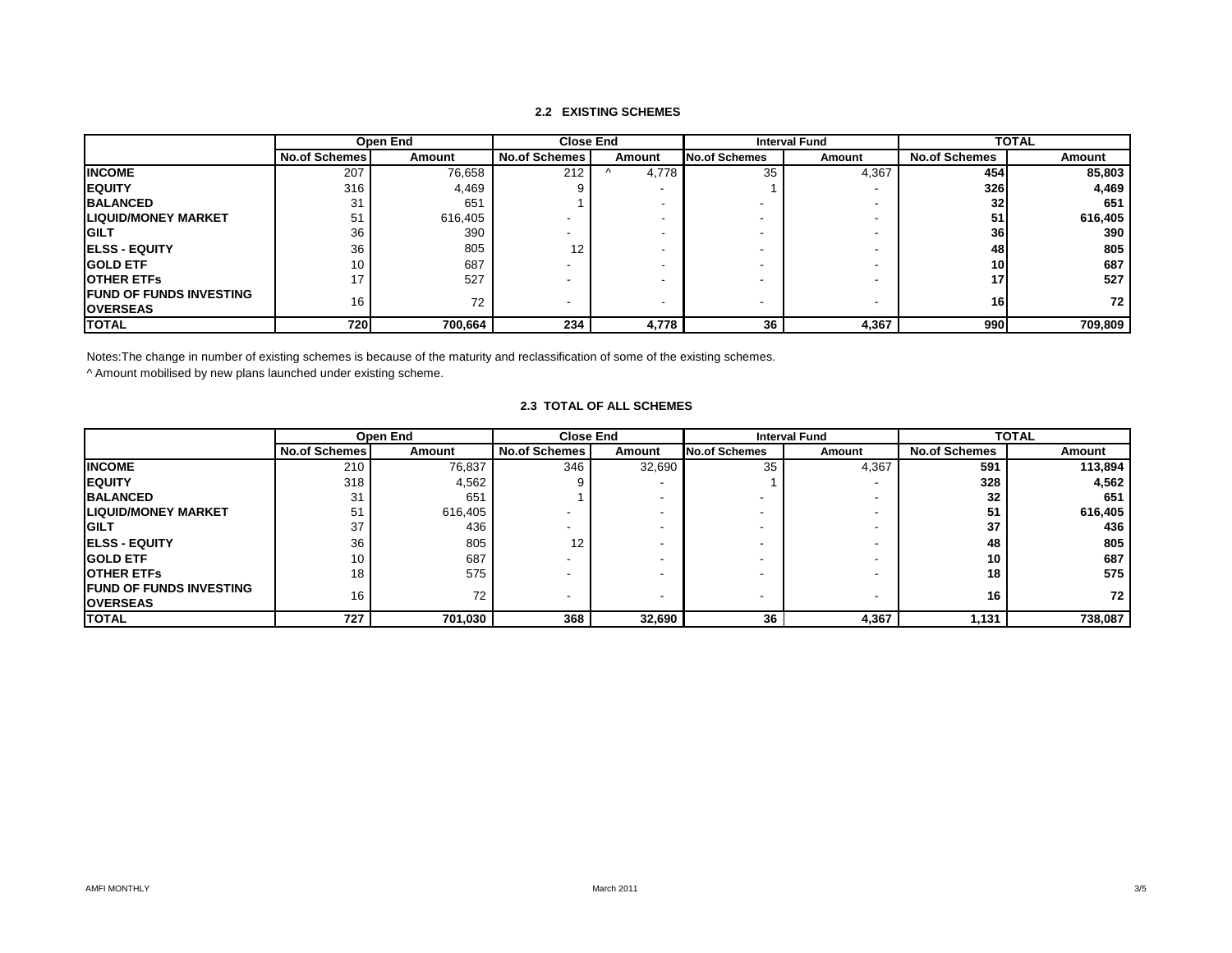# **2.2 EXISTING SCHEMES**

|                                                    | Open End<br><b>No.of Schemes</b><br>Amount |         | <b>Close End</b>     |        | <b>Interval Fund</b> |                                | <b>TOTAL</b> |         |
|----------------------------------------------------|--------------------------------------------|---------|----------------------|--------|----------------------|--------------------------------|--------------|---------|
|                                                    |                                            |         | <b>No.of Schemes</b> | Amount |                      | <b>No.of Schemes</b><br>Amount |              | Amount  |
| <b>INCOME</b>                                      | 207                                        | 76,658  | 212                  | 4,778  | 35                   | 4,367                          | 454          | 85,803  |
| <b>IEQUITY</b>                                     | 316                                        | 4,469   |                      |        |                      | $\overline{\phantom{a}}$       | 326          | 4,469   |
| <b>BALANCED</b>                                    | 31                                         | 651     |                      |        |                      |                                | 32           | 651     |
| <b>LIQUID/MONEY MARKET</b>                         | 51                                         | 616,405 |                      |        |                      |                                | 51           | 616,405 |
| <b>GILT</b>                                        | 36                                         | 390     |                      |        |                      |                                | <b>36</b>    | 390     |
| <b>IELSS - EQUITY</b>                              | 36                                         | 805     | 12                   |        |                      | $\overline{\phantom{a}}$       | 48           | 805     |
| <b>IGOLD ETF</b>                                   | 10                                         | 687     |                      |        |                      | -                              | <b>10</b>    | 687     |
| <b>OTHER ETFS</b>                                  | 17                                         | 527     |                      |        |                      | $\overline{\phantom{a}}$       | 17           | 527     |
| <b>IFUND OF FUNDS INVESTING</b><br><b>OVERSEAS</b> | 16                                         | 72      |                      |        |                      | $\overline{\phantom{a}}$       | 16           | 72      |
| <b>TOTAL</b>                                       | 720                                        | 700,664 | 234                  | 4,778  | 36                   | 4,367                          | 990          | 709,809 |

Notes:The change in number of existing schemes is because of the maturity and reclassification of some of the existing schemes.

^ Amount mobilised by new plans launched under existing scheme.

## **2.3 TOTAL OF ALL SCHEMES**

|                                 | Open End             |         | <b>Close End</b>         |                          | <b>Interval Fund</b> |                          | <b>TOTAL</b>         |         |
|---------------------------------|----------------------|---------|--------------------------|--------------------------|----------------------|--------------------------|----------------------|---------|
|                                 | <b>No.of Schemes</b> | Amount  | <b>No.of Schemes</b>     | Amount                   | <b>No.of Schemes</b> | Amount                   | <b>No.of Schemes</b> | Amount  |
| <b>INCOME</b>                   | 210                  | 76,837  | 346                      | 32,690                   | 35                   | 4,367                    | 591                  | 113,894 |
| <b>EQUITY</b>                   | 318                  | 4,562   |                          |                          |                      | $\overline{\phantom{a}}$ | 328                  | 4,562   |
| <b>BALANCED</b>                 | 31                   | 651     |                          | $\overline{\phantom{a}}$ |                      | -                        | 32                   | 651     |
| <b>ILIQUID/MONEY MARKET</b>     | 51                   | 616,405 |                          | $\overline{\phantom{a}}$ |                      | $\overline{\phantom{a}}$ | 51                   | 616,405 |
| <b>IGILT</b>                    | 37                   | 436     | -                        | $\overline{\phantom{a}}$ |                      | $\overline{\phantom{a}}$ | 37                   | 436     |
| <b>IELSS - EQUITY</b>           | 36                   | 805     | 12                       | -                        |                      | $\overline{\phantom{a}}$ | 48                   | 805     |
| <b>IGOLD ETF</b>                | 10                   | 687     | $\overline{\phantom{a}}$ | $\overline{\phantom{a}}$ |                      | $\overline{\phantom{a}}$ | 10                   | 687     |
| <b>OTHER ETFS</b>               | 18                   | 575     |                          |                          |                      |                          | 18                   | 575     |
| <b>IFUND OF FUNDS INVESTING</b> | 16                   |         |                          |                          |                      |                          | 16                   |         |
| <b>OVERSEAS</b>                 |                      | 72      |                          | $\overline{\phantom{a}}$ |                      | $\overline{\phantom{a}}$ |                      | 72      |
| <b>TOTAL</b>                    | 727                  | 701,030 | 368                      | 32,690                   | 36                   | 4,367                    | 1,131                | 738,087 |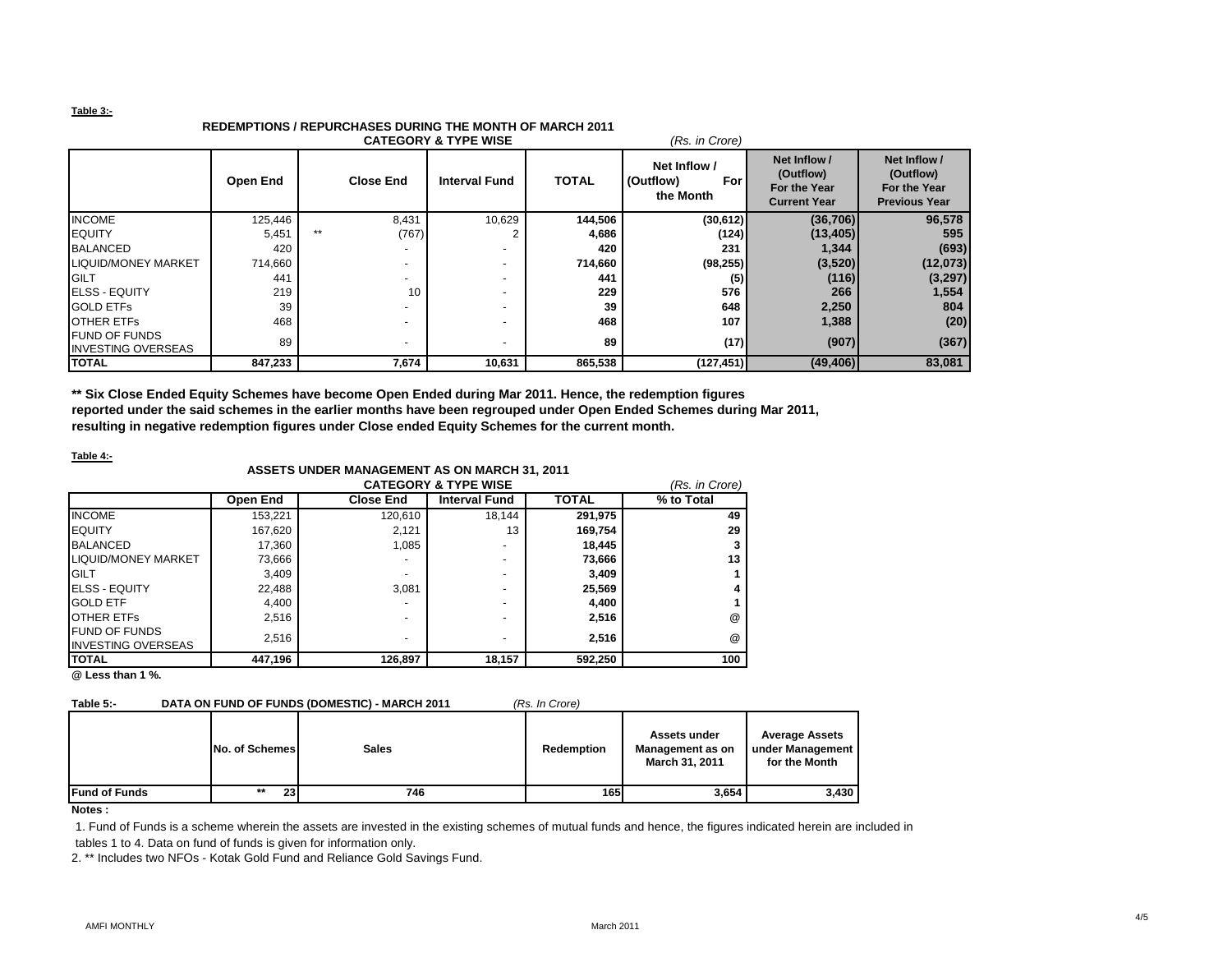#### **Table 3:-**

#### **REDEMPTIONS / REPURCHASES DURING THE MONTH OF MARCH 2011 CATEGORY & TYPE WISE** *(Rs. in Crore)*

|                                                   |          |       | UA I EGURT & ITPE WISE   |                          | (RS. In Crore) |                                               |                                                                  |                                                                   |
|---------------------------------------------------|----------|-------|--------------------------|--------------------------|----------------|-----------------------------------------------|------------------------------------------------------------------|-------------------------------------------------------------------|
|                                                   | Open End |       | <b>Close End</b>         | <b>Interval Fund</b>     | <b>TOTAL</b>   | Net Inflow /<br>(Outflow)<br>For<br>the Month | Net Inflow /<br>(Outflow)<br>For the Year<br><b>Current Year</b> | Net Inflow /<br>(Outflow)<br>For the Year<br><b>Previous Year</b> |
| <b>INCOME</b>                                     | 125,446  |       | 8,431                    | 10,629                   | 144,506        | (30, 612)                                     | (36, 706)                                                        | 96,578                                                            |
| <b>EQUITY</b>                                     | 5,451    | $***$ | (767)                    |                          | 4,686          | (124)                                         | (13, 405)                                                        | 595                                                               |
| <b>BALANCED</b>                                   | 420      |       |                          |                          | 420            | 231                                           | 1,344                                                            | (693)                                                             |
| <b>LIQUID/MONEY MARKET</b>                        | 714,660  |       | $\overline{\phantom{0}}$ | $\overline{\phantom{a}}$ | 714,660        | (98, 255)                                     | (3,520)                                                          | (12,073)                                                          |
| <b>GILT</b>                                       | 441      |       | $\overline{\phantom{0}}$ | $\overline{a}$           | 441            | (5)                                           | (116)                                                            | (3, 297)                                                          |
| <b>IELSS - EQUITY</b>                             | 219      |       | 10                       |                          | 229            | 576                                           | 266                                                              | 1,554                                                             |
| <b>GOLD ETFS</b>                                  | 39       |       | -                        |                          | 39             | 648                                           | 2,250                                                            | 804                                                               |
| <b>OTHER ETFS</b>                                 | 468      |       | $\overline{\phantom{0}}$ | $\overline{a}$           | 468            | 107                                           | 1,388                                                            | (20)                                                              |
| <b>FUND OF FUNDS</b><br><b>INVESTING OVERSEAS</b> | 89       |       | $\overline{\phantom{a}}$ |                          | 89             | (17)                                          | (907)                                                            | (367)                                                             |
| <b>TOTAL</b>                                      | 847,233  |       | 7,674                    | 10,631                   | 865,538        | (127, 451)                                    | (49, 406)                                                        | 83,081                                                            |

**\*\* Six Close Ended Equity Schemes have become Open Ended during Mar 2011. Hence, the redemption figures** 

**reported under the said schemes in the earlier months have been regrouped under Open Ended Schemes during Mar 2011,**

**resulting in negative redemption figures under Close ended Equity Schemes for the current month.**

### **Table 4:-**

| <b>ASSETS UNDER MANAGEMENT AS ON MARCH 31, 2011</b> |  |  |
|-----------------------------------------------------|--|--|
|                                                     |  |  |

|                                |          | (Rs. in Crore)   |                          |              |            |
|--------------------------------|----------|------------------|--------------------------|--------------|------------|
|                                | Open End | <b>Close End</b> | <b>Interval Fund</b>     | <b>TOTAL</b> | % to Total |
| <b>INCOME</b>                  | 153,221  | 120,610          | 18,144                   | 291,975      | 49         |
| <b>EQUITY</b>                  | 167,620  | 2.121            | 13                       | 169,754      | 29         |
| <b>BALANCED</b>                | 17,360   | 1.085            | $\overline{\phantom{a}}$ | 18,445       |            |
| <b>LIQUID/MONEY MARKET</b>     | 73,666   |                  | $\overline{\phantom{0}}$ | 73,666       | 13         |
| <b>GILT</b>                    | 3,409    |                  | $\overline{\phantom{0}}$ | 3,409        |            |
| <b>ELSS - EQUITY</b>           | 22,488   | 3.081            | $\overline{\phantom{a}}$ | 25,569       |            |
| <b>GOLD ETF</b>                | 4,400    |                  | $\overline{\phantom{a}}$ | 4,400        |            |
| <b>OTHER ETFS</b>              | 2,516    |                  | -                        | 2,516        | @          |
| <b>FUND OF FUNDS</b>           | 2.516    |                  |                          | 2.516        | @          |
| <b>INVESTING OVERSEAS</b>      |          |                  |                          |              |            |
| <b>TOTAL</b><br>$\sim$ $\cdot$ | 447,196  | 126,897          | 18,157                   | 592,250      | 100        |

**@ Less than 1 %.**

# **Table 5:- DATA ON FUND OF FUNDS (DOMESTIC) - MARCH 2011** *(Rs. In Crore)*

|                      | No. of Schemes          | <b>Sales</b> | Redemption | Assets under<br>Management as on<br>March 31, 2011 | <b>Average Assets</b><br>under Management<br>for the Month |
|----------------------|-------------------------|--------------|------------|----------------------------------------------------|------------------------------------------------------------|
| <b>Fund of Funds</b> | $**$<br>23 <sub>l</sub> | 746          | <b>165</b> | 3,654                                              | 3,430                                                      |

**Notes :**

1. Fund of Funds is a scheme wherein the assets are invested in the existing schemes of mutual funds and hence, the figures indicated herein are included in tables 1 to 4. Data on fund of funds is given for information only.

2. \*\* Includes two NFOs - Kotak Gold Fund and Reliance Gold Savings Fund.